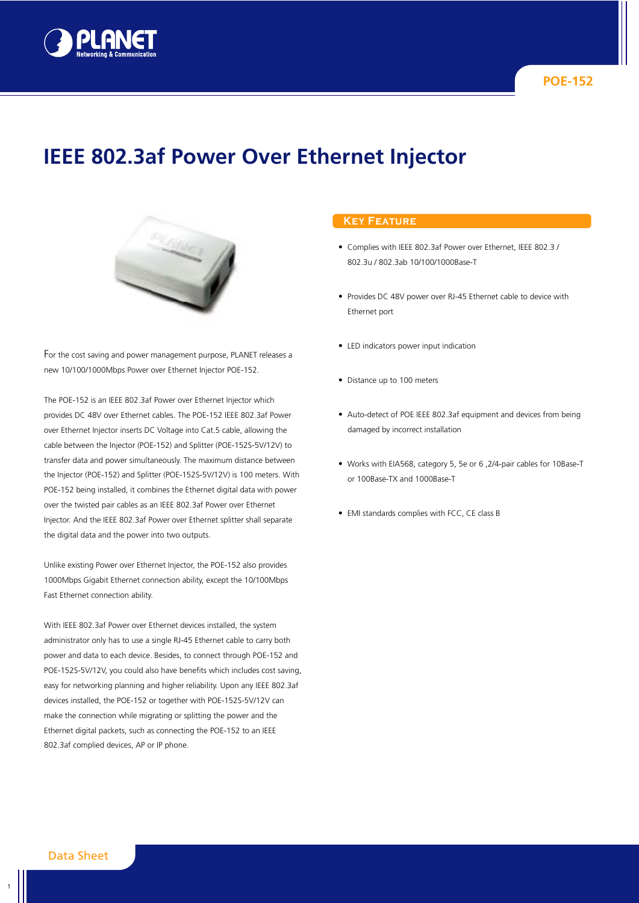

# **IEEE 802.3af Power Over Ethernet Injector**



For the cost saving and power management purpose, PLANET releases a new 10/100/1000Mbps Power over Ethernet Injector POE-152.

The POE-152 is an IEEE 802.3af Power over Ethernet Injector which provides DC 48V over Ethernet cables. The POE-152 IEEE 802.3af Power over Ethernet Injector inserts DC Voltage into Cat.5 cable, allowing the cable between the Injector (POE-152) and Splitter (POE-152S-5V/12V) to transfer data and power simultaneously. The maximum distance between the Injector (POE-152) and Splitter (POE-152S-5V/12V) is 100 meters. With POE-152 being installed, it combines the Ethernet digital data with power over the twisted pair cables as an IEEE 802.3af Power over Ethernet Injector. And the IEEE 802.3af Power over Ethernet splitter shall separate the digital data and the power into two outputs.

Unlike existing Power over Ethernet Injector, the POE-152 also provides 1000Mbps Gigabit Ethernet connection ability, except the 10/100Mbps Fast Ethernet connection ability.

With IEEE 802.3af Power over Ethernet devices installed, the system administrator only has to use a single RJ-45 Ethernet cable to carry both power and data to each device. Besides, to connect through POE-152 and POE-152S-5V/12V, you could also have benefits which includes cost saving, easy for networking planning and higher reliability. Upon any IEEE 802.3af devices installed, the POE-152 or together with POE-152S-5V/12V can make the connection while migrating or splitting the power and the Ethernet digital packets, such as connecting the POE-152 to an IEEE 802.3af complied devices, AP or IP phone.

## **Key Feature**

- **•** Complies with IEEE 802.3af Power over Ethernet, IEEE 802.3 / 802.3u / 802.3ab 10/100/1000Base-T
- **•** Provides DC 48V power over RJ-45 Ethernet cable to device with Ethernet port
- **•** LED indicators power input indication
- **•** Distance up to 100 meters
- **•** Auto-detect of POE IEEE 802.3af equipment and devices from being damaged by incorrect installation
- **•** Works with EIA568, category 5, 5e or 6 ,2/4-pair cables for 10Base-T or 100Base-TX and 1000Base-T
- **•** EMI standards complies with FCC, CE class B

1